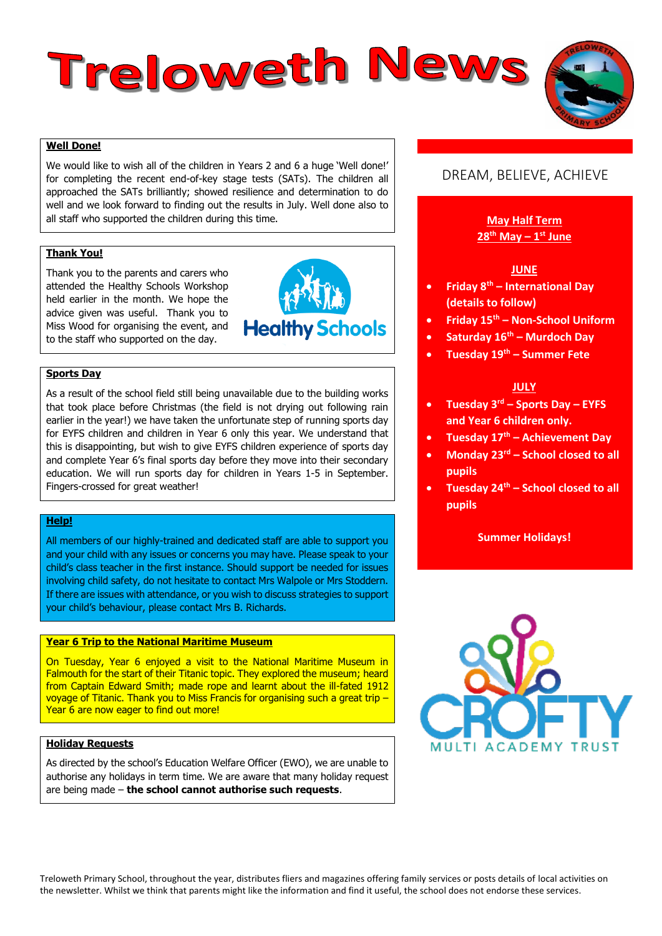# Treloweth News

# **Well Done!**

We would like to wish all of the children in Years 2 and 6 a huge 'Well done!' for completing the recent end-of-key stage tests (SATs). The children all approached the SATs brilliantly; showed resilience and determination to do well and we look forward to finding out the results in July. Well done also to all staff who supported the children during this time.

# **Thank You!**

Thank you to the parents and carers who attended the Healthy Schools Workshop held earlier in the month. We hope the advice given was useful. Thank you to Miss Wood for organising the event, and to the staff who supported on the day.



# **Sports Day**

As a result of the school field still being unavailable due to the building works that took place before Christmas (the field is not drying out following rain earlier in the year!) we have taken the unfortunate step of running sports day for EYFS children and children in Year 6 only this year. We understand that this is disappointing, but wish to give EYFS children experience of sports day and complete Year 6's final sports day before they move into their secondary education. We will run sports day for children in Years 1-5 in September. Fingers-crossed for great weather!

# **Help!**

All members of our highly-trained and dedicated staff are able to support you and your child with any issues or concerns you may have. Please speak to your child's class teacher in the first instance. Should support be needed for issues involving child safety, do not hesitate to contact Mrs Walpole or Mrs Stoddern. If there are issues with attendance, or you wish to discuss strategies to support your child's behaviour, please contact Mrs B. Richards.

# **Year 6 Trip to the National Maritime Museum**

On Tuesday, Year 6 enjoyed a visit to the National Maritime Museum in Falmouth for the start of their Titanic topic. They explored the museum; heard from Captain Edward Smith; made rope and learnt about the ill-fated 1912 voyage of Titanic. Thank you to Miss Francis for organising such a great trip – Year 6 are now eager to find out more!

# **Holiday Requests**

As directed by the school's Education Welfare Officer (EWO), we are unable to authorise any holidays in term time. We are aware that many holiday request are being made – **the school cannot authorise such requests**.

# DREAM, BELIEVE, ACHIEVE

# **May Half Term 28th May – 1 st June**

# **JUNE**

- **Friday 8th – International Day (details to follow)**
- **Friday 15th – Non-School Uniform**
- **Saturday 16th – Murdoch Day**
- **Tuesday 19th – Summer Fete**

### **JULY**

- **Tuesday 3rd – Sports Day – EYFS and Year 6 children only.**
- **Tuesday 17th – Achievement Day**
- **Monday 23rd – School closed to all pupils**
- **Tuesday 24th – School closed to all pupils**

### **Summer Holidays!**



Treloweth Primary School, throughout the year, distributes fliers and magazines offering family services or posts details of local activities on the newsletter. Whilst we think that parents might like the information and find it useful, the school does not endorse these services.